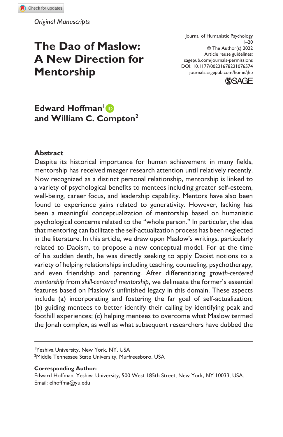# **The Dao of Maslow: A New Direction for Mentorship**

DOI: 10.1177/00221678221076574 Journal of Humanistic Psychology  $1 - 20$ © The Author(s) 2022 Article reuse guidelines: [sagepub.com/journals-permissions](https://us.sagepub.com/en-us/journals-permissions) [journals.sagepub.com/home/jhp](https://journals.sagepub.com/home/jhp
)



# **Edward Hoffman**<sup>1</sup> **and William C. Compton2**

#### **Abstract**

Despite its historical importance for human achievement in many fields, mentorship has received meager research attention until relatively recently. Now recognized as a distinct personal relationship, mentorship is linked to a variety of psychological benefits to mentees including greater self-esteem, well-being, career focus, and leadership capability. Mentors have also been found to experience gains related to generativity. However, lacking has been a meaningful conceptualization of mentorship based on humanistic psychological concerns related to the "whole person." In particular, the idea that mentoring can facilitate the self-actualization process has been neglected in the literature. In this article, we draw upon Maslow's writings, particularly related to Daoism, to propose a new conceptual model. For at the time of his sudden death, he was directly seeking to apply Daoist notions to a variety of helping relationships including teaching, counseling, psychotherapy, and even friendship and parenting. After differentiating *growth-centered mentorship* from *skill-centered mentorship*, we delineate the former's essential features based on Maslow's unfinished legacy in this domain. These aspects include (a) incorporating and fostering the far goal of self-actualization; (b) guiding mentees to better identify their calling by identifying peak and foothill experiences; (c) helping mentees to overcome what Maslow termed the Jonah complex, as well as what subsequent researchers have dubbed the

1 Yeshiva University, New York, NY, USA

2 Middle Tennessee State University, Murfreesboro, USA

#### **Corresponding Author:**

Edward Hoffman, Yeshiva University, 500 West 185th Street, New York, NY 10033, USA. Email: [elhoffma@yu.edu](mailto:elhoffma@yu.edu)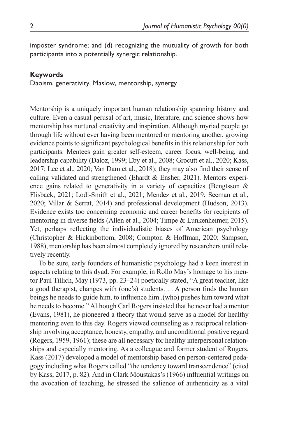imposter syndrome; and (d) recognizing the mutuality of growth for both participants into a potentially synergic relationship.

#### **Keywords**

Daoism, generativity, Maslow, mentorship, synergy

Mentorship is a uniquely important human relationship spanning history and culture. Even a casual perusal of art, music, literature, and science shows how mentorship has nurtured creativity and inspiration. Although myriad people go through life without ever having been mentored or mentoring another, growing evidence points to significant psychological benefits in this relationship for both participants. Mentees gain greater self-esteem, career focus, well-being, and leadership capability (Daloz, 1999; Eby et al., 2008; Grocutt et al., 2020; Kass, 2017; Lee et al., 2020; Van Dam et al., 2018); they may also find their sense of calling validated and strengthened (Ehardt & Ensher, 2021). Mentors experience gains related to generativity in a variety of capacities (Bengtsson & Flisback, 2021; Lodi-Smith et al., 2021; Mendez et al., 2019; Seeman et al., 2020; Villar & Serrat, 2014) and professional development (Hudson, 2013). Evidence exists too concerning economic and career benefits for recipients of mentoring in diverse fields (Allen et al., 2004; Timpe & Lunkenheimer, 2015). Yet, perhaps reflecting the individualistic biases of American psychology (Christopher & Hickinbottom, 2008; Compton & Hoffman, 2020; Sampson, 1988), mentorship has been almost completely ignored by researchers until relatively recently.

To be sure, early founders of humanistic psychology had a keen interest in aspects relating to this dyad. For example, in Rollo May's homage to his mentor Paul Tillich, May (1973, pp. 23–24) poetically stated, "A great teacher, like a good therapist, changes with (one's) students. . . A person finds the human beings he needs to guide him, to influence him..(who) pushes him toward what he needs to become." Although Carl Rogers insisted that he never had a mentor (Evans, 1981), he pioneered a theory that would serve as a model for healthy mentoring even to this day. Rogers viewed counseling as a reciprocal relationship involving acceptance, honesty, empathy, and unconditional positive regard (Rogers, 1959, 1961); these are all necessary for healthy interpersonal relationships and especially mentoring. As a colleague and former student of Rogers, Kass (2017) developed a model of mentorship based on person-centered pedagogy including what Rogers called "the tendency toward transcendence" (cited by Kass, 2017, p. 82). And in Clark Moustakas's (1966) influential writings on the avocation of teaching, he stressed the salience of authenticity as a vital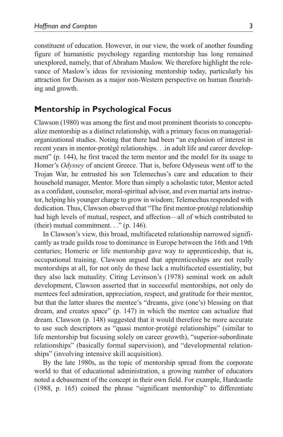constituent of education. However, in our view, the work of another founding figure of humanistic psychology regarding mentorship has long remained unexplored, namely, that of Abraham Maslow. We therefore highlight the relevance of Maslow's ideas for revisioning mentorship today, particularly his attraction for Daoism as a major non-Western perspective on human flourishing and growth.

# **Mentorship in Psychological Focus**

Clawson (1980) was among the first and most prominent theorists to conceptualize mentorship as a distinct relationship, with a primary focus on managerialorganizational studies. Noting that there had been "an explosion of interest in recent years in mentor-protégé relationships. . .in adult life and career development" (p. 144), he first traced the term mentor and the model for its usage to Homer's *Odyssey* of ancient Greece. That is, before Odysseus went off to the Trojan War, he entrusted his son Telemechus's care and education to their household manager, Mentor. More than simply a scholastic tutor, Mentor acted as a confidant, counselor, moral-spiritual advisor, and even martial arts instructor, helping his younger charge to grow in wisdom; Telemechus responded with dedication. Thus, Clawson observed that "The first mentor-protégé relationship had high levels of mutual, respect, and affection—all of which contributed to (their) mutual commitment.  $\therefore$  ' (p. 146).

In Clawson's view, this broad, multifaceted relationship narrowed significantly as trade guilds rose to dominance in Europe between the 16th and 19th centuries; Homeric or life mentorship gave way to apprenticeship, that is, occupational training. Clawson argued that apprenticeships are not really mentorships at all, for not only do these lack a multifaceted essentiality, but they also lack mutuality. Citing Levinson's (1978) seminal work on adult development, Clawson asserted that in successful mentorships, not only do mentees feel admiration, appreciation, respect, and gratitude for their mentor, but that the latter shares the mentee's "dreams, give (one's) blessing on that dream, and creates space" (p. 147) in which the mentee can actualize that dream. Clawson (p. 148) suggested that it would therefore be more accurate to use such descriptors as "quasi mentor-protégé relationships" (similar to life mentorship but focusing solely on career growth), "superior-subordinate relationships" (basically formal supervision), and "developmental relationships" (involving intensive skill acquisition).

By the late 1980s, as the topic of mentorship spread from the corporate world to that of educational administration, a growing number of educators noted a debasement of the concept in their own field. For example, Hardcastle (1988, p. 165) coined the phrase "significant mentorship" to differentiate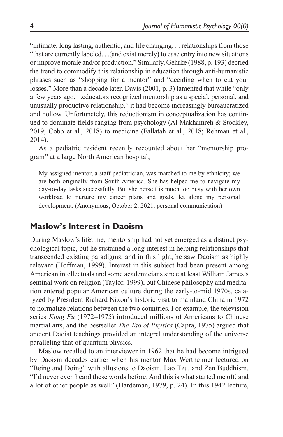"intimate, long lasting, authentic, and life changing. . . relationships from those "that are currently labeled. . .(and exist merely) to ease entry into new situations or improve morale and/or production." Similarly, Gehrke (1988, p. 193) decried the trend to commodify this relationship in education through anti-humanistic phrases such as "shopping for a mentor" and "deciding when to cut your losses." More than a decade later, Davis (2001, p. 3) lamented that while "only a few years ago. . .educators recognized mentorship as a special, personal, and unusually productive relationship," it had become increasingly bureaucratized and hollow. Unfortunately, this reductionism in conceptualization has continued to dominate fields ranging from psychology (Al Makhamreh & Stockley, 2019; Cobb et al., 2018) to medicine (Fallatah et al., 2018; Rehman et al., 2014).

As a pediatric resident recently recounted about her "mentorship program" at a large North American hospital,

My assigned mentor, a staff pediatrician, was matched to me by ethnicity; we are both originally from South America. She has helped me to navigate my day-to-day tasks successfully. But she herself is much too busy with her own workload to nurture my career plans and goals, let alone my personal development. (Anonymous, October 2, 2021, personal communication)

## **Maslow's Interest in Daoism**

During Maslow's lifetime, mentorship had not yet emerged as a distinct psychological topic, but he sustained a long interest in helping relationships that transcended existing paradigms, and in this light, he saw Daoism as highly relevant (Hoffman, 1999). Interest in this subject had been present among American intellectuals and some academicians since at least William James's seminal work on religion (Taylor, 1999), but Chinese philosophy and meditation entered popular American culture during the early-to-mid 1970s, catalyzed by President Richard Nixon's historic visit to mainland China in 1972 to normalize relations between the two countries. For example, the television series *Kung Fu* (1972–1975) introduced millions of Americans to Chinese martial arts, and the bestseller *The Tao of Physics* (Capra, 1975) argued that ancient Daoist teachings provided an integral understanding of the universe paralleling that of quantum physics.

Maslow recalled to an interviewer in 1962 that he had become intrigued by Daoism decades earlier when his mentor Max Wertheimer lectured on "Being and Doing" with allusions to Daoism, Lao Tzu, and Zen Buddhism. "I'd never even heard these words before. And this is what started me off, and a lot of other people as well" (Hardeman, 1979, p. 24). In this 1942 lecture,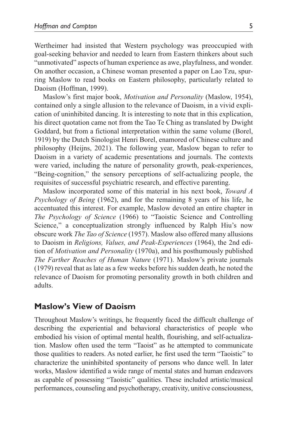Wertheimer had insisted that Western psychology was preoccupied with goal-seeking behavior and needed to learn from Eastern thinkers about such "unmotivated" aspects of human experience as awe, playfulness, and wonder. On another occasion, a Chinese woman presented a paper on Lao Tzu, spurring Maslow to read books on Eastern philosophy, particularly related to Daoism (Hoffman, 1999).

Maslow's first major book, *Motivation and Personality* (Maslow, 1954), contained only a single allusion to the relevance of Daoism, in a vivid explication of uninhibited dancing. It is interesting to note that in this explication, his direct quotation came not from the Tao Te Ching as translated by Dwight Goddard, but from a fictional interpretation within the same volume (Borel, 1919) by the Dutch Sinologist Henri Borel, enamored of Chinese culture and philosophy (Heijns, 2021). The following year, Maslow began to refer to Daoism in a variety of academic presentations and journals. The contexts were varied, including the nature of personality growth, peak-experiences, "Being-cognition," the sensory perceptions of self-actualizing people, the requisites of successful psychiatric research, and effective parenting.

Maslow incorporated some of this material in his next book, *Toward A Psychology of Being* (1962), and for the remaining 8 years of his life, he accentuated this interest. For example, Maslow devoted an entire chapter in *The Psychology of Science* (1966) to "Taoistic Science and Controlling Science," a conceptualization strongly influenced by Ralph Hiu's now obscure work *The Tao of Science* (1957). Maslow also offered many allusions to Daoism in *Religions, Values, and Peak-Experiences* (1964), the 2nd edition of *Motivation and Personality* (1970a), and his posthumously published *The Farther Reaches of Human Nature* (1971). Maslow's private journals (1979) reveal that as late as a few weeks before his sudden death, he noted the relevance of Daoism for promoting personality growth in both children and adults.

#### **Maslow's View of Daoism**

Throughout Maslow's writings, he frequently faced the difficult challenge of describing the experiential and behavioral characteristics of people who embodied his vision of optimal mental health, flourishing, and self-actualization. Maslow often used the term "Taoist" as he attempted to communicate those qualities to readers. As noted earlier, he first used the term "Taoistic" to characterize the uninhibited spontaneity of persons who dance well. In later works, Maslow identified a wide range of mental states and human endeavors as capable of possessing "Taoistic" qualities. These included artistic/musical performances, counseling and psychotherapy, creativity, unitive consciousness,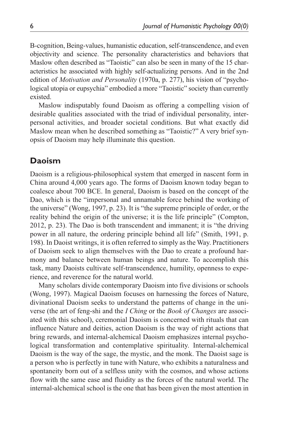B-cognition, Being-values, humanistic education, self-transcendence, and even objectivity and science. The personality characteristics and behaviors that Maslow often described as "Taoistic" can also be seen in many of the 15 characteristics he associated with highly self-actualizing persons. And in the 2nd edition of *Motivation and Personality* (1970a, p. 277), his vision of "psychological utopia or eupsychia" embodied a more "Taoistic" society than currently existed.

Maslow indisputably found Daoism as offering a compelling vision of desirable qualities associated with the triad of individual personality, interpersonal activities, and broader societal conditions. But what exactly did Maslow mean when he described something as "Taoistic?" A very brief synopsis of Daoism may help illuminate this question.

# **Daoism**

Daoism is a religious-philosophical system that emerged in nascent form in China around 4,000 years ago. The forms of Daoism known today began to coalesce about 700 BCE. In general, Daoism is based on the concept of the Dao, which is the "impersonal and unnamable force behind the working of the universe" (Wong, 1997, p. 23). It is "the supreme principle of order, or the reality behind the origin of the universe; it is the life principle" (Compton, 2012, p. 23). The Dao is both transcendent and immanent; it is "the driving power in all nature, the ordering principle behind all life" (Smith, 1991, p. 198). In Daoist writings, it is often referred to simply as the Way. Practitioners of Daoism seek to align themselves with the Dao to create a profound harmony and balance between human beings and nature. To accomplish this task, many Daoists cultivate self-transcendence, humility, openness to experience, and reverence for the natural world.

Many scholars divide contemporary Daoism into five divisions or schools (Wong, 1997). Magical Daoism focuses on harnessing the forces of Nature, divinational Daoism seeks to understand the patterns of change in the universe (the art of feng-shi and the *I Ching* or the *Book of Changes* are associated with this school), ceremonial Daoism is concerned with rituals that can influence Nature and deities, action Daoism is the way of right actions that bring rewards, and internal-alchemical Daoism emphasizes internal psychological transformation and contemplative spirituality. Internal-alchemical Daoism is the way of the sage, the mystic, and the monk. The Daoist sage is a person who is perfectly in tune with Nature, who exhibits a naturalness and spontaneity born out of a selfless unity with the cosmos, and whose actions flow with the same ease and fluidity as the forces of the natural world. The internal-alchemical school is the one that has been given the most attention in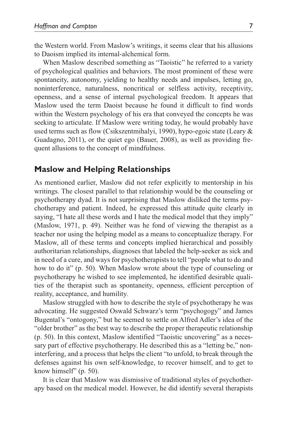the Western world. From Maslow's writings, it seems clear that his allusions to Daoism implied its internal-alchemical form.

When Maslow described something as "Taoistic" he referred to a variety of psychological qualities and behaviors. The most prominent of these were spontaneity, autonomy, yielding to healthy needs and impulses, letting go, noninterference, naturalness, noncritical or selfless activity, receptivity, openness, and a sense of internal psychological freedom. It appears that Maslow used the term Daoist because he found it difficult to find words within the Western psychology of his era that conveyed the concepts he was seeking to articulate. If Maslow were writing today, he would probably have used terms such as flow (Csikszentmihalyi, 1990), hypo-egoic state (Leary & Guadagno, 2011), or the quiet ego (Bauer, 2008), as well as providing frequent allusions to the concept of mindfulness.

#### **Maslow and Helping Relationships**

As mentioned earlier, Maslow did not refer explicitly to mentorship in his writings. The closest parallel to that relationship would be the counseling or psychotherapy dyad. It is not surprising that Maslow disliked the terms psychotherapy and patient. Indeed, he expressed this attitude quite clearly in saying, "I hate all these words and I hate the medical model that they imply" (Maslow, 1971, p. 49). Neither was he fond of viewing the therapist as a teacher nor using the helping model as a means to conceptualize therapy. For Maslow, all of these terms and concepts implied hierarchical and possibly authoritarian relationships, diagnoses that labeled the help-seeker as sick and in need of a cure, and ways for psychotherapists to tell "people what to do and how to do it" (p. 50). When Maslow wrote about the type of counseling or psychotherapy he wished to see implemented, he identified desirable qualities of the therapist such as spontaneity, openness, efficient perception of reality, acceptance, and humility.

Maslow struggled with how to describe the style of psychotherapy he was advocating. He suggested Oswald Schwarz's term "psychogogy" and James Bugental's "ontogony," but he seemed to settle on Alfred Adler's idea of the "older brother" as the best way to describe the proper therapeutic relationship (p. 50). In this context, Maslow identified "Taoistic uncovering" as a necessary part of effective psychotherapy. He described this as a "letting be," noninterfering, and a process that helps the client "to unfold, to break through the defenses against his own self-knowledge, to recover himself, and to get to know himself" (p. 50).

It is clear that Maslow was dismissive of traditional styles of psychotherapy based on the medical model. However, he did identify several therapists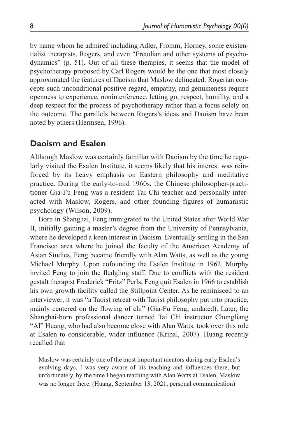by name whom he admired including Adler, Fromm, Horney, some existentialist therapists, Rogers, and even "Freudian and other systems of psychodynamics" (p. 51). Out of all these therapies, it seems that the model of psychotherapy proposed by Carl Rogers would be the one that most closely approximated the features of Daoism that Maslow delineated. Rogerian concepts such unconditional positive regard, empathy, and genuineness require openness to experience, noninterference, letting go, respect, humility, and a deep respect for the process of psychotherapy rather than a focus solely on the outcome. The parallels between Rogers's ideas and Daoism have been noted by others (Hermsen, 1996).

# **Daoism and Esalen**

Although Maslow was certainly familiar with Daoism by the time he regularly visited the Esalen Institute, it seems likely that his interest was reinforced by its heavy emphasis on Eastern philosophy and meditative practice. During the early-to-mid 1960s, the Chinese philosopher-practitioner Gia-Fu Feng was a resident Tai Chi teacher and personally interacted with Maslow, Rogers, and other founding figures of humanistic psychology (Wilson, 2009).

Born in Shanghai, Feng immigrated to the United States after World War II, initially gaining a master's degree from the University of Pennsylvania, where he developed a keen interest in Daoism. Eventually settling in the San Francisco area where he joined the faculty of the American Academy of Asian Studies, Feng became friendly with Alan Watts, as well as the young Michael Murphy. Upon cofounding the Esalen Institute in 1962, Murphy invited Feng to join the fledgling staff. Due to conflicts with the resident gestalt therapist Frederick "Fritz" Perls, Feng quit Esalen in 1966 to establish his own growth facility called the Stillpoint Center. As he reminisced to an interviewer, it was "a Taoist retreat with Taoist philosophy put into practice, mainly centered on the flowing of chi" (Gia-Fu Feng, undated). Later, the Shanghai-born professional dancer turned Tai Chi instructor Chungliang "Al" Huang, who had also become close with Alan Watts, took over this role at Esalen to considerable, wider influence (Kripal, 2007). Huang recently recalled that

Maslow was certainly one of the most important mentors during early Esalen's evolving days. I was very aware of his teaching and influences there, but unfortunately, by the time I began teaching with Alan Watts at Esalen, Maslow was no longer there. (Huang, September 13, 2021, personal communication)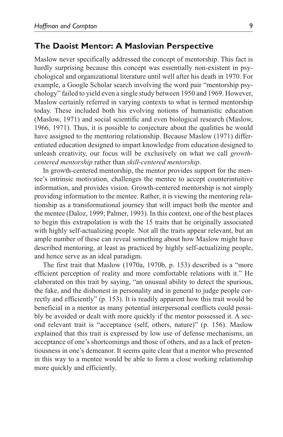#### **The Daoist Mentor: A Maslovian Perspective**

Maslow never specifically addressed the concept of mentorship. This fact is hardly surprising because this concept was essentially non-existent in psychological and organizational literature until well after his death in 1970. For example, a Google Scholar search involving the word pair "mentorship psychology" failed to yield even a single study between 1950 and 1969. However, Maslow certainly referred in varying contexts to what is termed mentorship today. These included both his evolving notions of humanistic education (Maslow, 1971) and social scientific and even biological research (Maslow, 1966, 1971). Thus, it is possible to conjecture about the qualities he would have assigned to the mentoring relationship. Because Maslow (1971) differentiated education designed to impart knowledge from education designed to unleash creativity, our focus will be exclusively on what we call *growthcentered mentorship* rather than *skill-centered mentorship*.

In growth-centered mentorship, the mentor provides support for the mentee's intrinsic motivation, challenges the mentee to accept counterintuitive information, and provides vision. Growth-centered mentorship is not simply providing information to the mentee. Rather, it is viewing the mentoring relationship as a transformational journey that will impact both the mentor and the mentee (Daloz, 1999; Palmer, 1993). In this context, one of the best places to begin this extrapolation is with the 15 traits that he originally associated with highly self-actualizing people. Not all the traits appear relevant, but an ample number of these can reveal something about how Maslow might have described mentoring, at least as practiced by highly self-actualizing people, and hence serve as an ideal paradigm.

The first trait that Maslow (1970a, 1970b, p. 153) described is a "more efficient perception of reality and more comfortable relations with it." He elaborated on this trait by saying, "an unusual ability to detect the spurious, the fake, and the dishonest in personality and in general to judge people correctly and efficiently" (p. 153). It is readily apparent how this trait would be beneficial in a mentor as many potential interpersonal conflicts could possibly be avoided or dealt with more quickly if the mentor possessed it. A second relevant trait is "acceptance (self, others, nature)" (p. 156). Maslow explained that this trait is expressed by low use of defense mechanisms, an acceptance of one's shortcomings and those of others, and as a lack of pretentiousness in one's demeanor. It seems quite clear that a mentor who presented in this way to a mentee would be able to form a close working relationship more quickly and efficiently.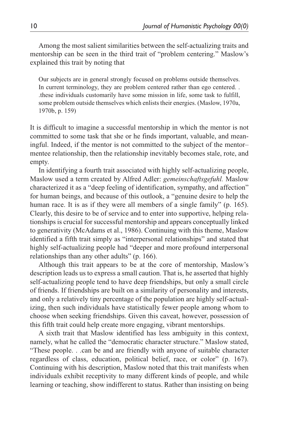Among the most salient similarities between the self-actualizing traits and mentorship can be seen in the third trait of "problem centering." Maslow's explained this trait by noting that

Our subjects are in general strongly focused on problems outside themselves. In current terminology, they are problem centered rather than ego centered. . .these individuals customarily have some mission in life, some task to fulfill, some problem outside themselves which enlists their energies. (Maslow, 1970a, 1970b, p. 159)

It is difficult to imagine a successful mentorship in which the mentor is not committed to some task that she or he finds important, valuable, and meaningful. Indeed, if the mentor is not committed to the subject of the mentor– mentee relationship, then the relationship inevitably becomes stale, rote, and empty.

In identifying a fourth trait associated with highly self-actualizing people, Maslow used a term created by Alfred Adler: *gemeinschaftsgefuhl.* Maslow characterized it as a "deep feeling of identification, sympathy, and affection" for human beings, and because of this outlook, a "genuine desire to help the human race. It is as if they were all members of a single family" (p. 165). Clearly, this desire to be of service and to enter into supportive, helping relationships is crucial for successful mentorship and appears conceptually linked to generativity (McAdams et al., 1986). Continuing with this theme, Maslow identified a fifth trait simply as "interpersonal relationships" and stated that highly self-actualizing people had "deeper and more profound interpersonal relationships than any other adults" (p. 166).

Although this trait appears to be at the core of mentorship, Maslow's description leads us to express a small caution. That is, he asserted that highly self-actualizing people tend to have deep friendships, but only a small circle of friends. If friendships are built on a similarity of personality and interests, and only a relatively tiny percentage of the population are highly self-actualizing, then such individuals have statistically fewer people among whom to choose when seeking friendships. Given this caveat, however, possession of this fifth trait could help create more engaging, vibrant mentorships.

A sixth trait that Maslow identified has less ambiguity in this context, namely, what he called the "democratic character structure." Maslow stated, "These people. . .can be and are friendly with anyone of suitable character regardless of class, education, political belief, race, or color" (p. 167). Continuing with his description, Maslow noted that this trait manifests when individuals exhibit receptivity to many different kinds of people, and while learning or teaching, show indifferent to status. Rather than insisting on being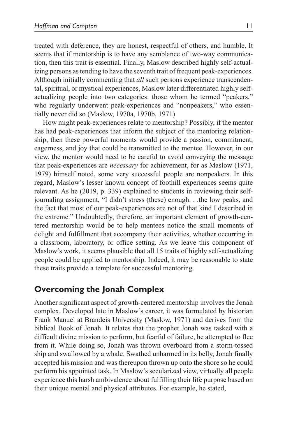treated with deference, they are honest, respectful of others, and humble. It seems that if mentorship is to have any semblance of two-way communication, then this trait is essential. Finally, Maslow described highly self-actualizing persons as tending to have the seventh trait of frequent peak-experiences. Although initially commenting that *all* such persons experience transcendental, spiritual, or mystical experiences, Maslow later differentiated highly selfactualizing people into two categories: those whom he termed "peakers," who regularly underwent peak-experiences and "nonpeakers," who essentially never did so (Maslow, 1970a, 1970b, 1971)

How might peak-experiences relate to mentorship? Possibly, if the mentor has had peak-experiences that inform the subject of the mentoring relationship, then these powerful moments would provide a passion, commitment, eagerness, and joy that could be transmitted to the mentee. However, in our view, the mentor would need to be careful to avoid conveying the message that peak-experiences are *necessary* for achievement, for as Maslow (1971, 1979) himself noted, some very successful people are nonpeakers. In this regard, Maslow's lesser known concept of foothill experiences seems quite relevant. As he (2019, p. 339) explained to students in reviewing their selfjournaling assignment, "I didn't stress (these) enough. . .the low peaks, and the fact that most of our peak-experiences are not of that kind I described in the extreme." Undoubtedly, therefore, an important element of growth-centered mentorship would be to help mentees notice the small moments of delight and fulfillment that accompany their activities, whether occurring in a classroom, laboratory, or office setting. As we leave this component of Maslow's work, it seems plausible that all 15 traits of highly self-actualizing people could be applied to mentorship. Indeed, it may be reasonable to state these traits provide a template for successful mentoring.

# **Overcoming the Jonah Complex**

Another significant aspect of growth-centered mentorship involves the Jonah complex. Developed late in Maslow's career, it was formulated by historian Frank Manuel at Brandeis University (Maslow, 1971) and derives from the biblical Book of Jonah. It relates that the prophet Jonah was tasked with a difficult divine mission to perform, but fearful of failure, he attempted to flee from it. While doing so, Jonah was thrown overboard from a storm-tossed ship and swallowed by a whale. Swathed unharmed in its belly, Jonah finally accepted his mission and was thereupon thrown up onto the shore so he could perform his appointed task. In Maslow's secularized view, virtually all people experience this harsh ambivalence about fulfilling their life purpose based on their unique mental and physical attributes. For example, he stated,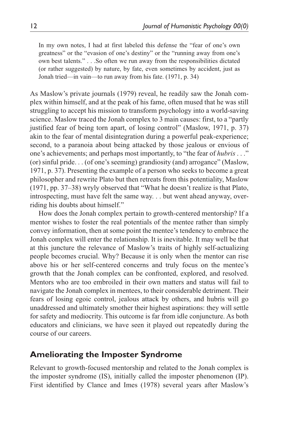In my own notes, I had at first labeled this defense the "fear of one's own greatness" or the "evasion of one's destiny" or the "running away from one's own best talents." . . .So often we run away from the responsibilities dictated (or rather suggested) by nature, by fate, even sometimes by accident, just as Jonah tried—in vain—to run away from his fate. (1971, p. 34)

As Maslow's private journals (1979) reveal, he readily saw the Jonah complex within himself, and at the peak of his fame, often mused that he was still struggling to accept his mission to transform psychology into a world-saving science. Maslow traced the Jonah complex to 3 main causes: first, to a "partly justified fear of being torn apart, of losing control" (Maslow, 1971, p. 37) akin to the fear of mental disintegration during a powerful peak-experience; second, to a paranoia about being attacked by those jealous or envious of one's achievements; and perhaps most importantly, to "the fear of *hubris* . . ." (or) sinful pride. . . (of one's seeming) grandiosity (and) arrogance" (Maslow, 1971, p. 37). Presenting the example of a person who seeks to become a great philosopher and rewrite Plato but then retreats from this potentiality, Maslow (1971, pp. 37–38) wryly observed that "What he doesn't realize is that Plato, introspecting, must have felt the same way. . . but went ahead anyway, overriding his doubts about himself."

How does the Jonah complex pertain to growth-centered mentorship? If a mentor wishes to foster the real potentials of the mentee rather than simply convey information, then at some point the mentee's tendency to embrace the Jonah complex will enter the relationship. It is inevitable. It may well be that at this juncture the relevance of Maslow's traits of highly self-actualizing people becomes crucial. Why? Because it is only when the mentor can rise above his or her self-centered concerns and truly focus on the mentee's growth that the Jonah complex can be confronted, explored, and resolved. Mentors who are too embroiled in their own matters and status will fail to navigate the Jonah complex in mentees, to their considerable detriment. Their fears of losing egoic control, jealous attack by others, and hubris will go unaddressed and ultimately smother their highest aspirations: they will settle for safety and mediocrity. This outcome is far from idle conjuncture. As both educators and clinicians, we have seen it played out repeatedly during the course of our careers.

## **Ameliorating the Imposter Syndrome**

Relevant to growth-focused mentorship and related to the Jonah complex is the imposter syndrome (IS), initially called the imposter phenomenon (IP). First identified by Clance and Imes (1978) several years after Maslow's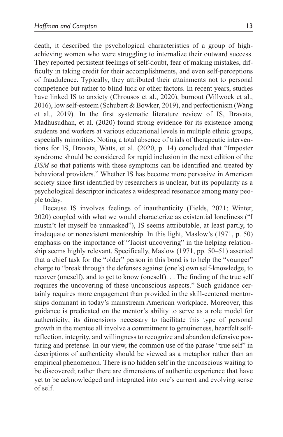death, it described the psychological characteristics of a group of highachieving women who were struggling to internalize their outward success. They reported persistent feelings of self-doubt, fear of making mistakes, difficulty in taking credit for their accomplishments, and even self-perceptions of fraudulence. Typically, they attributed their attainments not to personal competence but rather to blind luck or other factors. In recent years, studies have linked IS to anxiety (Chrousos et al., 2020), burnout (Villwock et al., 2016), low self-esteem (Schubert & Bowker, 2019), and perfectionism (Wang et al., 2019). In the first systematic literature review of IS, Bravata, Madhusudhan, et al. (2020) found strong evidence for its existence among students and workers at various educational levels in multiple ethnic groups, especially minorities. Noting a total absence of trials of therapeutic interventions for IS, Bravata, Watts, et al. (2020, p. 14) concluded that "Imposter syndrome should be considered for rapid inclusion in the next edition of the *DSM* so that patients with these symptoms can be identified and treated by behavioral providers." Whether IS has become more pervasive in American society since first identified by researchers is unclear, but its popularity as a psychological descriptor indicates a widespread resonance among many people today.

Because IS involves feelings of inauthenticity (Fields, 2021; Winter, 2020) coupled with what we would characterize as existential loneliness ("I mustn't let myself be unmasked"), IS seems attributable, at least partly, to inadequate or nonexistent mentorship. In this light, Maslow's (1971, p. 50) emphasis on the importance of "Taoist uncovering" in the helping relationship seems highly relevant. Specifically, Maslow (1971, pp. 50–51) asserted that a chief task for the "older" person in this bond is to help the "younger" charge to "break through the defenses against (one's) own self-knowledge, to recover (oneself), and to get to know (oneself). . . The finding of the true self requires the uncovering of these unconscious aspects." Such guidance certainly requires more engagement than provided in the skill-centered mentorships dominant in today's mainstream American workplace. Moreover, this guidance is predicated on the mentor's ability to serve as a role model for authenticity; its dimensions necessary to facilitate this type of personal growth in the mentee all involve a commitment to genuineness, heartfelt selfreflection, integrity, and willingness to recognize and abandon defensive posturing and pretense. In our view, the common use of the phrase "true self" in descriptions of authenticity should be viewed as a metaphor rather than an empirical phenomenon. There is no hidden self in the unconscious waiting to be discovered; rather there are dimensions of authentic experience that have yet to be acknowledged and integrated into one's current and evolving sense of self.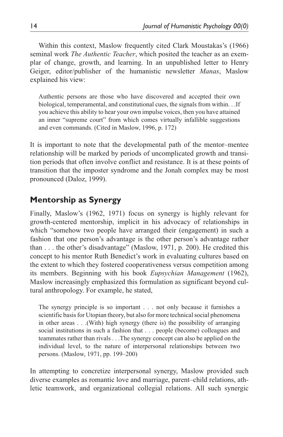Within this context, Maslow frequently cited Clark Moustakas's (1966) seminal work *The Authentic Teacher*, which posited the teacher as an exemplar of change, growth, and learning. In an unpublished letter to Henry Geiger, editor/publisher of the humanistic newsletter *Manas*, Maslow explained his view:

Authentic persons are those who have discovered and accepted their own biological, temperamental, and constitutional cues, the signals from within. . .If you achieve this ability to hear your own impulse voices, then you have attained an inner "supreme court" from which comes virtually infallible suggestions and even commands. (Cited in Maslow, 1996, p. 172)

It is important to note that the developmental path of the mentor–mentee relationship will be marked by periods of uncomplicated growth and transition periods that often involve conflict and resistance. It is at these points of transition that the imposter syndrome and the Jonah complex may be most pronounced (Daloz, 1999).

# **Mentorship as Synergy**

Finally, Maslow's (1962, 1971) focus on synergy is highly relevant for growth-centered mentorship, implicit in his advocacy of relationships in which "somehow two people have arranged their (engagement) in such a fashion that one person's advantage is the other person's advantage rather than . . . the other's disadvantage" (Maslow, 1971, p. 200). He credited this concept to his mentor Ruth Benedict's work in evaluating cultures based on the extent to which they fostered cooperativeness versus competition among its members. Beginning with his book *Eupsychian Management* (1962), Maslow increasingly emphasized this formulation as significant beyond cultural anthropology. For example, he stated,

The synergy principle is so important . . . not only because it furnishes a scientific basis for Utopian theory, but also for more technical social phenomena in other areas . . .(With) high synergy (there is) the possibility of arranging social institutions in such a fashion that . . . people (become) colleagues and teammates rather than rivals . . .The synergy concept can also be applied on the individual level, to the nature of interpersonal relationships between two persons. (Maslow, 1971, pp. 199–200)

In attempting to concretize interpersonal synergy, Maslow provided such diverse examples as romantic love and marriage, parent–child relations, athletic teamwork, and organizational collegial relations. All such synergic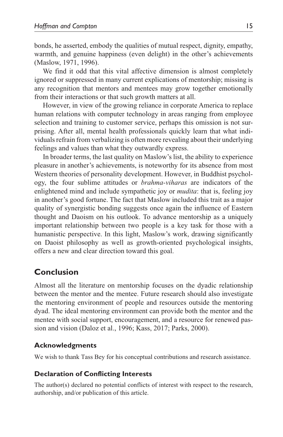bonds, he asserted, embody the qualities of mutual respect, dignity, empathy, warmth, and genuine happiness (even delight) in the other's achievements (Maslow, 1971, 1996).

We find it odd that this vital affective dimension is almost completely ignored or suppressed in many current explications of mentorship; missing is any recognition that mentors and mentees may grow together emotionally from their interactions or that such growth matters at all.

However, in view of the growing reliance in corporate America to replace human relations with computer technology in areas ranging from employee selection and training to customer service, perhaps this omission is not surprising. After all, mental health professionals quickly learn that what individuals refrain from verbalizing is often more revealing about their underlying feelings and values than what they outwardly express.

In broader terms, the last quality on Maslow's list, the ability to experience pleasure in another's achievements, is noteworthy for its absence from most Western theories of personality development. However, in Buddhist psychology, the four sublime attitudes or *brahma-viharas* are indicators of the enlightened mind and include sympathetic joy or *mudita*: that is, feeling joy in another's good fortune. The fact that Maslow included this trait as a major quality of synergistic bonding suggests once again the influence of Eastern thought and Daoism on his outlook. To advance mentorship as a uniquely important relationship between two people is a key task for those with a humanistic perspective. In this light, Maslow's work, drawing significantly on Daoist philosophy as well as growth-oriented psychological insights, offers a new and clear direction toward this goal.

# **Conclusion**

Almost all the literature on mentorship focuses on the dyadic relationship between the mentor and the mentee. Future research should also investigate the mentoring environment of people and resources outside the mentoring dyad. The ideal mentoring environment can provide both the mentor and the mentee with social support, encouragement, and a resource for renewed passion and vision (Daloz et al., 1996; Kass, 2017; Parks, 2000).

#### **Acknowledgments**

We wish to thank Tass Bey for his conceptual contributions and research assistance.

#### **Declaration of Conflicting Interests**

The author(s) declared no potential conflicts of interest with respect to the research, authorship, and/or publication of this article.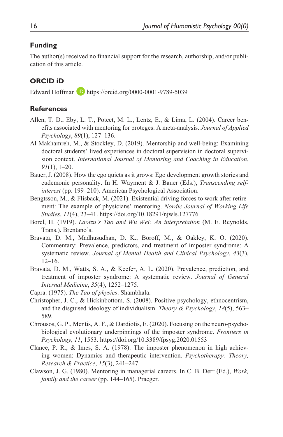### **Funding**

The author(s) received no financial support for the research, authorship, and/or publication of this article.

# **ORCID iD**

Edward Hoffman  $\Box$  <https://orcid.org/0000-0001-9789-5039>

#### **References**

- Allen, T. D., Eby, L. T., Poteet, M. L., Lentz, E., & Lima, L. (2004). Career benefits associated with mentoring for proteges: A meta-analysis. *Journal of Applied Psychology*, *89*(1), 127–136.
- Al Makhamreh, M., & Stockley, D. (2019). Mentorship and well-being: Examining doctoral students' lived experiences in doctoral supervision in doctoral supervision context. *International Journal of Mentoring and Coaching in Education*, *91*(1), 1–20.
- Bauer, J. (2008). How the ego quiets as it grows: Ego development growth stories and eudemonic personality. In H. Wayment & J. Bauer (Eds.), *Transcending selfinterest* (pp. 199–210). American Psychological Association.
- Bengtsson, M., & Flisback, M. (2021). Existential driving forces to work after retirement: The example of physicians' mentoring. *Nordic Journal of Working Life Studies*, *11*(4), 23–41.<https://doi.org/10.18291/njwls.127776>
- Borel, H. (1919). *Laotzu's Tao and Wu Wei: An interpretation* (M. E. Reynolds, Trans.). Brentano's.
- Bravata, D. M., Madhusudhan, D. K., Boroff, M., & Oakley, K. O. (2020). Commentary: Prevalence, predictors, and treatment of imposter syndrome: A systematic review. *Journal of Mental Health and Clinical Psychology*, *43*(3), 12–16.
- Bravata, D. M., Watts, S. A., & Keefer, A. L. (2020). Prevalence, prediction, and treatment of imposter syndrome: A systematic review. *Journal of General Internal Medicine*, *35*(4), 1252–1275.
- Capra. (1975). *The Tao of physics*. Shambhala.
- Christopher, J. C., & Hickinbottom, S. (2008). Positive psychology, ethnocentrism, and the disguised ideology of individualism. *Theory & Psychology*, *18*(5), 563– 589.
- Chrousos, G. P., Mentis, A. F., & Dardiotis, E. (2020). Focusing on the neuro-psychobiological evolutionary underpinnings of the imposter syndrome. *Frontiers in Psychology*, *11*, 1553. <https://doi.org/10.3389/fpsyg.2020.01553>
- Clance, P. R., & Imes, S. A. (1978). The imposter phenomenon in high achieving women: Dynamics and therapeutic intervention. *Psychotherapy: Theory, Research & Practice*, *15*(3), 241–247.
- Clawson, J. G. (1980). Mentoring in managerial careers. In C. B. Derr (Ed.), *Work, family and the career* (pp. 144–165). Praeger.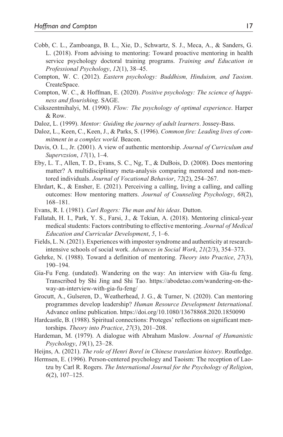- Cobb, C. L., Zamboanga, B. L., Xie, D., Schwartz, S. J., Meca, A., & Sanders, G. L. (2018). From advising to mentoring: Toward proactive mentoring in health service psychology doctoral training programs. *Training and Education in Professional Psychology*, *12*(1), 38–45.
- Compton, W. C. (2012). *Eastern psychology: Buddhism, Hinduism, and Taoism*. CreateSpace.
- Compton, W. C., & Hoffman, E. (2020). *Positive psychology: The science of happiness and flourishing*. SAGE.
- Csikszentmihalyi, M. (1990). *Flow: The psychology of optimal experience*. Harper & Row.
- Daloz, L. (1999). *Mentor: Guiding the journey of adult learners*. Jossey-Bass.
- Daloz, L., Keen, C., Keen, J., & Parks, S. (1996). *Common fire: Leading lives of commitment in a complex world*. Beacon.
- Davis, O. L., Jr. (2001). A view of authentic mentorship. *Journal of Curriculum and Supervzsion*, *17*(1), 1–4.
- Eby, L. T., Allen, T. D., Evans, S. C., Ng, T., & DuBois, D. (2008). Does mentoring matter? A multidisciplinary meta-analysis comparing mentored and non-mentored individuals. *Journal of Vocational Behavior*, *72*(2), 254–267.
- Ehrdart, K., & Ensher, E. (2021). Perceiving a calling, living a calling, and calling outcomes: How mentoring matters. *Journal of Counseling Psychology*, *68*(2), 168–181.
- Evans, R. I. (1981). *Carl Rogers: The man and his ideas*. Dutton.
- Fallatah, H. I., Park, Y. S., Farsi, J., & Tekian, A. (2018). Mentoring clinical-year medical students: Factors contributing to effective mentoring. *Journal of Medical Education and Curricular Development*, *5*, 1–6.
- Fields, L. N. (2021). Experiences with imposter syndrome and authenticity at researchintensive schools of social work. *Advances in Social Work*, *21*(2/3), 354–373.
- Gehrke, N. (1988). Toward a definition of mentoring. *Theory into Practice*, *27*(3), 190–194.
- Gia-Fu Feng. (undated). Wandering on the way: An interview with Gia-fu feng. Transcribed by Shi Jing and Shi Tao. [https://abodetao.com/wandering-on-the](https://abodetao.com/wandering-on-the-way-an-interview-with-gia-fu-feng/)[way-an-interview-with-gia-fu-feng/](https://abodetao.com/wandering-on-the-way-an-interview-with-gia-fu-feng/)
- Grocutt, A., Gulseren, D., Weatherhead, J. G., & Turner, N. (2020). Can mentoring programmes develop leadership? *Human Resource Development International*. Advance online publication. <https://doi.org/10.1080/13678868.2020.1850090>
- Hardcastle, B. (1988). Spiritual connections: Proteges' reflections on significant mentorships. *Theory into Practice*, *27*(3), 201–208.
- Hardeman, M. (1979). A dialogue with Abraham Maslow. *Journal of Humanistic Psychology*, *19*(1), 23–28.
- Heijns, A. (2021). *The role of Henri Borel in Chinese translation history*. Routledge.
- Hermsen, E. (1996). Person-centered psychology and Taoism: The reception of Laotzu by Carl R. Rogers. *The International Journal for the Psychology of Religion*, *6*(2), 107–125.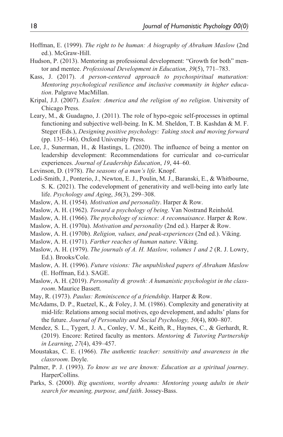- Hoffman, E. (1999). *The right to be human: A biography of Abraham Maslow* (2nd ed.). McGraw-Hill.
- Hudson, P. (2013). Mentoring as professional development: "Growth for both" mentor and mentee. *Professional Development in Education*, *39*(5), 771–783.
- Kass, J. (2017). *A person-centered approach to psychospiritual maturation: Mentoring psychological resilience and inclusive community in higher education*. Palgrave MacMillan.
- Kripal, J.J. (2007). *Esalen: America and the religion of no religion*. University of Chicago Press.
- Leary, M., & Guadagno, J. (2011). The role of hypo-egoic self-processes in optimal functioning and subjective well-being. In K. M. Sheldon, T. B. Kashdan & M. F. Steger (Eds.), *Designing positive psychology: Taking stock and moving forward* (pp. 135–146). Oxford University Press.
- Lee, J., Sunerman, H., & Hastings, L. (2020). The influence of being a mentor on leadership development: Recommendations for curricular and co-curricular experiences. *Journal of Leadership Education*, *19*, 44–60.
- Levinson, D. (1978). *The seasons of a man's life*. Knopf.
- Lodi-Smith, J., Ponterio, J., Newton, E. J., Poulin, M. J., Baranski, E., & Whitbourne, S. K. (2021). The codevelopment of generativity and well-being into early late life. *Psychology and Aging*, *36*(3), 299–308.
- Maslow, A. H. (1954). *Motivation and personality*. Harper & Row.
- Maslow, A. H. (1962). *Toward a psychology of being*. Van Nostrand Reinhold.
- Maslow, A. H. (1966). *The psychology of science: A reconnaisance*. Harper & Row.
- Maslow, A. H. (1970a). *Motivation and personality* (2nd ed.). Harper & Row.
- Maslow, A. H. (1970b). *Religion, values, and peak-experiences* (2nd ed.). Viking.
- Maslow, A. H. (1971). *Farther reaches of human nature*. Viking.
- Maslow, A. H. (1979). *The journals of A. H. Maslow, volumes 1 and 2* (R. J. Lowry, Ed.). Brooks/Cole.
- Maslow, A. H. (1996). *Future visions: The unpublished papers of Abraham Maslow* (E. Hoffman, Ed.). SAGE.
- Maslow, A. H. (2019). *Personality & growth: A humanistic psychologist in the classroom*. Maurice Bassett.
- May, R. (1973). *Paulus: Reminiscence of a friendship*. Harper & Row.
- McAdams, D. P., Ruetzel, K., & Foley, J. M. (1986). Complexity and generativity at mid-life: Relations among social motives, ego development, and adults' plans for the future. *Journal of Personality and Social Psychology, 50*(4), 800–807.
- Mendez, S. L., Tygert, J. A., Conley, V. M., Keith, R., Haynes, C., & Gerhardt, R. (2019). Encore: Retired faculty as mentors. *Mentoring & Tutoring Partnership in Learning*, *27*(4), 439–457.
- Moustakas, C. E. (1966). *The authentic teacher: sensitivity and awareness in the classroom*. Doyle.
- Palmer, P. J. (1993). *To know as we are known: Education as a spiritual journey*. HarperCollins.
- Parks, S. (2000). *Big questions, worthy dreams: Mentoring young adults in their search for meaning, purpose, and faith*. Jossey-Bass.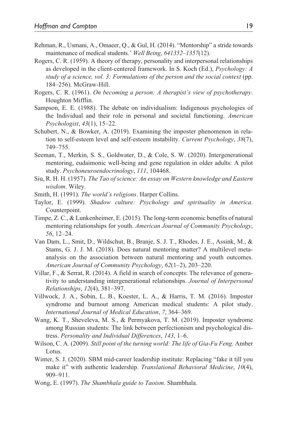- Rehman, R., Usmani, A., Omaeer, Q., & Gul, H. (2014). "Mentorship" a stride towards maintenance of medical students.' *Well Being*, *641352–1357*(12).
- Rogers, C. R. (1959). A theory of therapy, personality and interpersonal relationships as developed in the client-centered framework. In S. Koch (Ed.), *Psychology: A study of a science, vol. 3: Formulations of the person and the social context* (pp. 184–256). McGraw-Hill.
- Rogers, C. R. (1961). *On becoming a person: A therapist's view of psychotherapy*. Houghton Mifflin.
- Sampson, E. E. (1988). The debate on individualism: Indigenous psychologies of the Individual and their role in personal and societal functioning. *American Psychologist*, *43*(1), 15–22.
- Schubert, N., & Bowker, A. (2019). Examining the imposter phenomenon in relation to self-esteem level and self-esteem instability. *Current Psychology*, *38*(7), 749–755.
- Seeman, T., Merkin, S. S., Goldwater, D., & Cole, S. W. (2020). Intergenerational mentoring, eudaimonic well-being and gene regulation in older adults: A pilot study. *Psychoneuroendocrinology*, *111*, 104468.
- Siu, R. H. H. (1957). *The Tao of science: An essay on Western knowledge and Eastern wisdom*. Wiley.
- Smith, H. (1991). *The world's religions*. Harper Collins.
- Taylor, E. (1999). *Shadow culture: Psychology and spirituality in America*. Counterpoint.
- Timpe, Z. C., & Lunkenheimer, E. (2015). The long-term economic benefits of natural mentoring relationships for youth. *American Journal of Community Psychology*, *56*, 12–24.
- Van Dam, L., Smit, D., Wildschut, B., Branje, S. J. T., Rhodes, J. E., Assink, M., & Stams, G. J. J. M. (2018). Does natural mentoring matter? A multilevel metaanalysis on the association between natural mentoring and youth outcomes. *American Journal of Community Psychology*, *62*(1–2), 203–220.
- Villar, F., & Serrat, R. (2014). A field in search of concepts: The relevance of generativity to understanding intergenerational relationships. *Journal of Interpersonal Relationships*, *12*(4), 381–397.
- Villwock, J. A., Sobin, L. B., Koester, L. A., & Harris, T. M. (2016). Imposter syndrome and burnout among American medical students: A pilot study. *International Journal of Medical Education*, *7*, 364–369.
- Wang, K. T., Sheveleva, M. S., & Permyakova, T. M. (2019). Imposter syndrome among Russian students: The link between perfectionism and psychological distress. *Personality and Individual Differences*, *143*, 1–6.
- Wilson, C. A. (2009). *Still point of the turning world: The life of Gia-Fu Feng*. Amber Lotus.
- Winter, S. J. (2020). SBM mid-career leadership institute: Replacing "fake it till you make it" with authentic leadership. *Translational Behavioral Medicine*, *10*(4), 909–911.
- Wong, E. (1997). *The Shambhala guide to Taoism*. Shambhala.